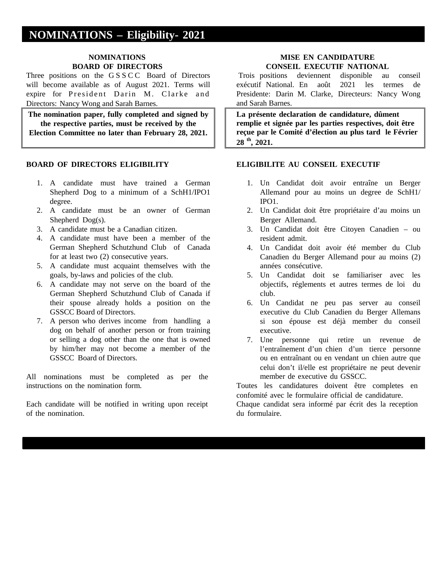# **NOMINATIONS – Eligibility- 2021**

## **NOMINATIONS BOARD OF DIRECTORS**

Three positions on the GSSCC Board of Directors will become available as of August 2021. Terms will expire for President Darin M. Clarke and Directors: Nancy Wong and Sarah Barnes.

**The nomination paper, fully completed and signed by the respective parties, must be received by the Election Committee no later than February 28, 2021.**

## **BOARD OF DIRECTORS ELIGIBILITY**

- 1. A candidate must have trained a German Shepherd Dog to a minimum of a SchH1/IPO1 degree.
- 2. A candidate must be an owner of German Shepherd Dog(s).
- 3. A candidate must be a Canadian citizen.
- 4. A candidate must have been a member of the German Shepherd Schutzhund Club of Canada for at least two (2) consecutive years.
- 5. A candidate must acquaint themselves with the goals, by-laws and policies of the club.
- 6. A candidate may not serve on the board of the German Shepherd Schutzhund Club of Canada if their spouse already holds a position on the GSSCC Board of Directors.
- 7. A person who derives income from handling a dog on behalf of another person or from training or selling a dog other than the one that is owned by him/her may not become a member of the GSSCC Board of Directors.

All nominations must be completed as per the instructions on the nomination form.

Each candidate will be notified in writing upon receipt of the nomination.

## **MISE EN CANDIDATURE CONSEIL EXECUTIF NATIONAL**

Trois positions deviennent disponible au conseil exécutif National. En août 2021 les termes de Presidente: Darin M. Clarke, Directeurs: Nancy Wong and Sarah Barnes.

**La présente declaration de candidature, dûment remplie et signée par les parties respectives, doit être reçue par le Comité d'élection au plus tard le Février 28 th, 2021.**

### **ELIGIBILITE AU CONSEIL EXECUTIF**

- 1. Un Candidat doit avoir entraîne un Berger Allemand pour au moins un degree de SchH1/ IPO1.
- 2. Un Candidat doit être propriétaire d'au moins un Berger Allemand.
- 3. Un Candidat doit être Citoyen Canadien ou resident admit.
- 4. Un Candidat doit avoir été member du Club Canadien du Berger Allemand pour au moins (2) années consécutive.
- 5. Un Candidat doit se familiariser avec les objectifs, réglements et autres termes de loi du club.
- 6. Un Candidat ne peu pas server au conseil executive du Club Canadien du Berger Allemans si son épouse est déjà member du conseil executive.
- 7. Une personne qui retire un revenue de l'entraînement d'un chien d'un tierce personne ou en entraînant ou en vendant un chien autre que celui don't il/elle est propriétaire ne peut devenir member de executive du GSSCC.

Toutes les candidatures doivent être completes en confomité avec le formulaire official de candidature. Chaque candidat sera informé par écrit des la reception du formulaire.